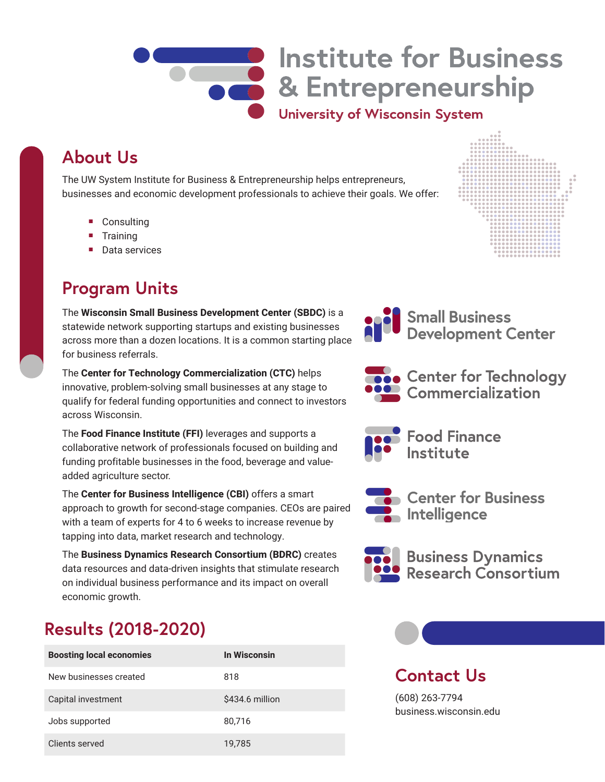

# **Institute for Business COLORE SECUTE SERVICE SERVICE SERVICE SERVICE SERVICE SERVICE SERVICE SERVICE SERVICE SERVICE SERVICE SERVICE**

University of Wisconsin System

# **About Us**

The UW System Institute for Business & Entrepreneurship helps entrepreneurs, businesses and economic development professionals to achieve their goals. We offer:

- Consulting
- Training
- Data services

## **Program Units**

The **Wisconsin Small Business Development Center (SBDC)** is a statewide network supporting startups and existing businesses across more than a dozen locations. It is a common starting place for business referrals.

The **Center for Technology Commercialization (CTC)** helps innovative, problem-solving small businesses at any stage to qualify for federal funding opportunities and connect to investors across Wisconsin.

The **Food Finance Institute (FFI)** leverages and supports a collaborative network of professionals focused on building and funding profitable businesses in the food, beverage and valueadded agriculture sector.

The **Center for Business Intelligence (CBI)** offers a smart approach to growth for second-stage companies. CEOs are paired with a team of experts for 4 to 6 weeks to increase revenue by tapping into data, market research and technology.

The **Business Dynamics Research Consortium (BDRC)** creates data resources and data-driven insights that stimulate research on individual business performance and its impact on overall economic growth.

# **Results (2018-2020)**

| <b>Boosting local economies</b> | In Wisconsin    |
|---------------------------------|-----------------|
| New businesses created          | 818             |
| Capital investment              | \$434.6 million |
| Jobs supported                  | 80,716          |
| Clients served                  | 19.785          |







• Center for Technology Commercialization



**Food Finance** Institute



Center for Business  $\blacksquare$  Intelligence



**Business Dynamics Research Consortium** 

## **Contact Us**

(608) 263-7794 business.wisconsin.edu